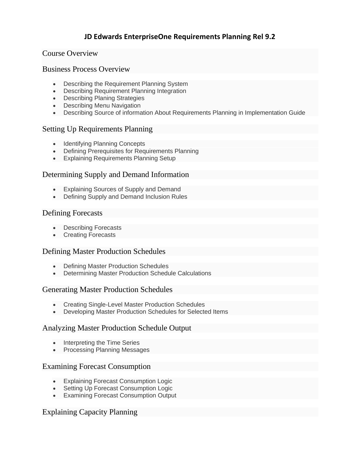# Course Overview

### Business Process Overview

- Describing the Requirement Planning System
- **•** Describing Requirement Planning Integration
- Describing Planing Strategies
- Describing Menu Navigation
- Describing Source of information About Requirements Planning in Implementation Guide

# Setting Up Requirements Planning

- Identifying Planning Concepts
- Defining Prerequisites for Requirements Planning
- Explaining Requirements Planning Setup

# Determining Supply and Demand Information

- Explaining Sources of Supply and Demand
- Defining Supply and Demand Inclusion Rules

# Defining Forecasts

- Describing Forecasts
- Creating Forecasts

### Defining Master Production Schedules

- Defining Master Production Schedules
- Determining Master Production Schedule Calculations

### Generating Master Production Schedules

- Creating Single-Level Master Production Schedules
- Developing Master Production Schedules for Selected Items

### Analyzing Master Production Schedule Output

- Interpreting the Time Series
- Processing Planning Messages

### Examining Forecast Consumption

- Explaining Forecast Consumption Logic
- Setting Up Forecast Consumption Logic
- Examining Forecast Consumption Output

# Explaining Capacity Planning